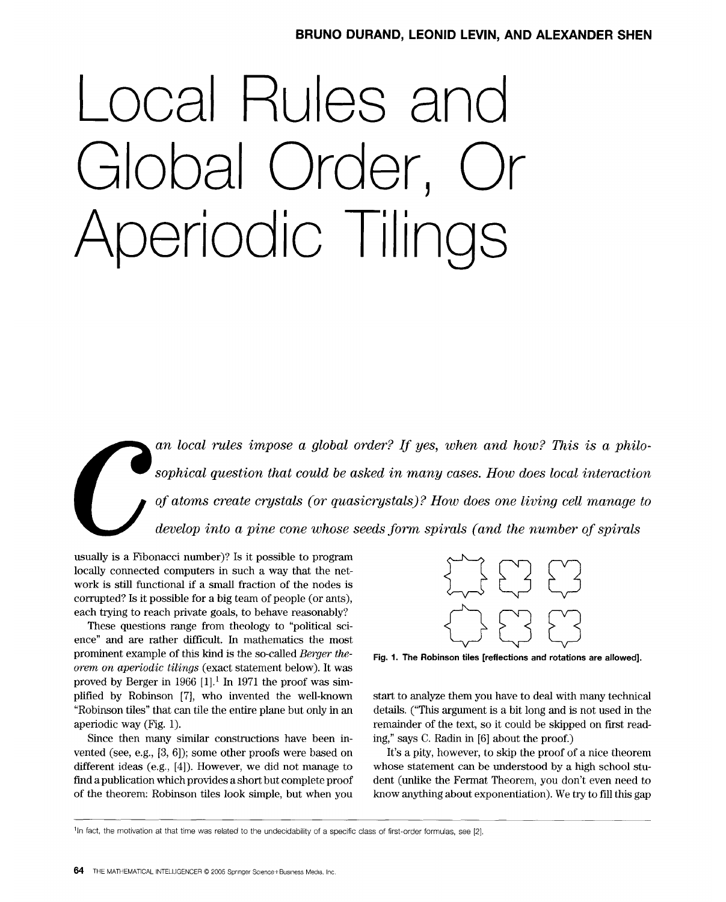# **Local Rules and Gobal Order I Or Aperiodic Tilings**

*an local rules impose a global order? If yes, when and how? This is a philosophical question that could be asked in many cases. How does local interaction of atoms create crystals (or quasicrystals) ? How does one living cell manage to develop into a pine cone whose seeds form spirals (and the number of spirals* 

usually is a Fibonacci number)? Is it possible to program locally connected computers in such a way that the network is still functional if a small fraction of the nodes is corrupted? Is it possible for a big team of people (or ants), each trying to reach private goals, to behave reasonably?

These questions range from theology to "political science" and are rather difficult. In mathematics the most prominent example of this kind is the so-called *Berger theorem on aperiodic tilings* (exact statement below). It was proved by Berger in 1966  $[1]$ .<sup>1</sup> In 1971 the proof was simplified by Robinson [7], who invented the well-known "Robinson tiles" that can tile the entire plane but only in an aperiodic way (Fig. 1).

Since then many similar constructions have been invented (see, e.g., [3, 6]); some other proofs were based on different ideas (e.g., [4]). However, we did not manage to find a publication which provides a short but complete proof of the theorem: Robinson tiles look simple, but when you



**Fig. 1. The Robinson tiles [reflections and rotations are allowed].** 

start to analyze them you have to deal with many technical details. ("This argument is a bit long and is not used in the remainder of the text, so it could be skipped on first reading," says C. Radin in [6] about the proof.)

It's a pity, however, to skip the proof of a nice theorem whose statement can be understood by a high school student (unlike the Fermat Theorem, you don't even need to know anything about exponentiation). We try to fill this gap

<sup>1</sup>In fact, the motivation at that time was related to the undecidability of a specific class of first-order formulas, see [2],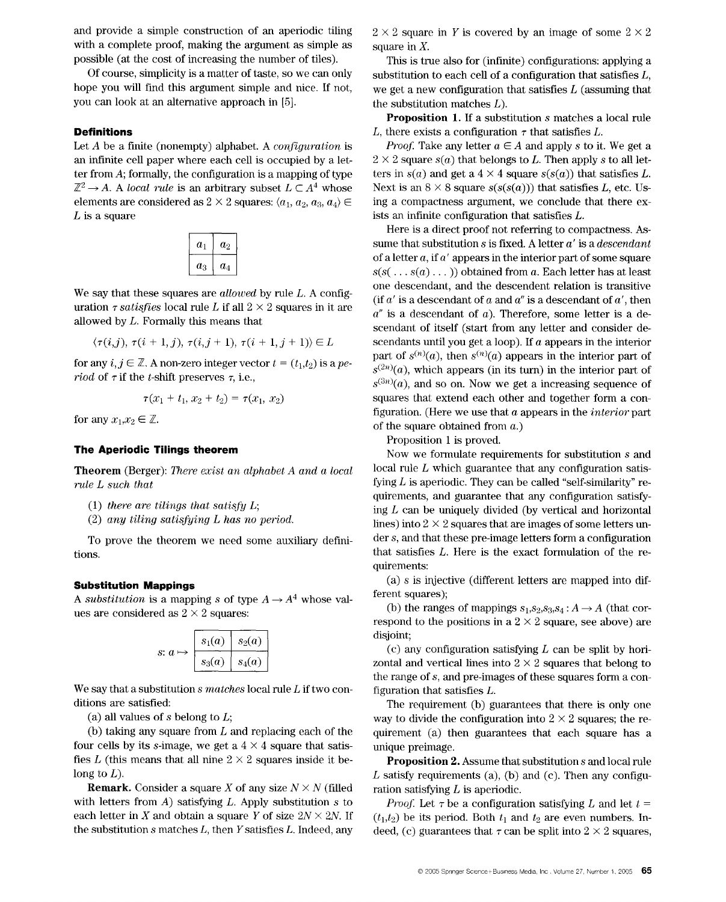and provide a simple construction of an aperiodic filing with a complete proof, making the argument as simple as possible (at the cost of increasing the number of tiles).

Of course, simplicity is a matter of taste, so we can only hope you will find this argument simple and nice. If not, you can look at an alternative approach in [5].

#### **Definitions**

Let A be a finite (nonempty) alphabet. A *configuration* is an infinite cell paper where each cell is occupied by a letter from A; formally, the configuration is a mapping of type  $\mathbb{Z}^2 \to A$ . A *local rule* is an arbitrary subset  $L \subset A^4$  whose elements are considered as  $2 \times 2$  squares:  $\langle a_1, a_2, a_3, a_4 \rangle \in$  $L$  is a square

| $a_1$ | $a_2\,$ |
|-------|---------|
| aз    | $a_4$   |

We say that these squares are *allowed* by rule L. A configuration  $\tau$  *satisfies* local rule L if all  $2 \times 2$  squares in it are allowed by L. Formally this means that

$$
\langle \tau(i,j), \tau(i+1,j), \tau(i,j+1), \tau(i+1,j+1) \rangle \in L
$$

for any  $i, j \in \mathbb{Z}$ . A non-zero integer vector  $t = (t_1, t_2)$  is a *period* of  $\tau$  if the *t*-shift preserves  $\tau$ , i.e.,

$$
\tau(x_1 + t_1, x_2 + t_2) = \tau(x_1, x_2)
$$

for any  $x_1, x_2 \in \mathbb{Z}$ .

#### **The Aperiodic Tilings theorem**

Theorem (Berger): *There exist an alphabet A and a local rule L such that* 

To prove the theorem we need some auxiliary definitions.

#### **Substitution Mappings**

A *substitution* is a mapping s of type  $A \rightarrow A^4$  whose values are considered as  $2 \times 2$  squares:

| s: a | $s_1(a)$ | $s_2(a)$ |
|------|----------|----------|
|      | $s_3(a)$ | $s_4(a)$ |

We say that a substitution *s matches* local rule L if two conditions are satisfied:

(a) all values of s belong to  $L$ ;

(b) taking any square from  $L$  and replacing each of the four cells by its s-image, we get a  $4 \times 4$  square that satisfies L (this means that all nine  $2 \times 2$  squares inside it belong to  $L$ ).

**Remark.** Consider a square X of any size  $N \times N$  (filled with letters from  $A$ ) satisfying  $L$ . Apply substitution  $s$  to each letter in X and obtain a square Y of size  $2N \times 2N$ . If the substitution  $s$  matches  $L$ , then  $Y$  satisfies  $L$ . Indeed, any

 $2 \times 2$  square in Y is covered by an image of some  $2 \times 2$ square in  $X$ .

This is true also for (infinite) configurations: applying a substitution to each cell of a configuration that satisfies  $L$ , we get a new configuration that satisfies L (assuming that the substitution matches  $L$ ).

Proposition 1. If a substitution s matches a local rule L, there exists a configuration  $\tau$  that satisfies L.

*Proof.* Take any letter  $a \in A$  and apply s to it. We get a  $2 \times 2$  square  $s(a)$  that belongs to L. Then apply s to all letters in  $s(a)$  and get a  $4 \times 4$  square  $s(s(a))$  that satisfies L. Next is an  $8 \times 8$  square  $s(s(s(a)))$  that satisfies L, etc. Using a compactness argument, we conclude that there exists an infinite configuration that satisfies L.

Here is a direct proof not referring to compactness. Assume that substitution s is fixed. A letter a' is a *descendant*  of a letter  $a$ , if  $a'$  appears in the interior part of some square  $s(s(\ldots s(a)\ldots))$  obtained from a. Each letter has at least one descendant, and the descendent relation is transitive (if  $a'$  is a descendant of a and  $a''$  is a descendant of  $a'$ , then  $a''$  is a descendant of a). Therefore, some letter is a descendant of itself (start from any letter and consider descendants until you get a loop). If  $a$  appears in the interior part of  $s^{(n)}(a)$ , then  $s^{(n)}(a)$  appears in the interior part of  $s^{(2n)}(a)$ , which appears (in its turn) in the interior part of  $s^{(3n)}(a)$ , and so on. Now we get a increasing sequence of squares that extend each other and together form a configuration. (Here we use that a appears in the *interior* part of the square obtained from  $a$ .)

Proposition 1 is proved.

Now we formulate requirements for substitution s and local rule  $L$  which guarantee that any configuration satisfying  $L$  is aperiodic. They can be called "self-similarity" requirements, and guarantee that any configuration satisfying L can be uniquely divided (by vertical and horizontal lines) into  $2 \times 2$  squares that are images of some letters under s, and that these pre-image letters form a configuration that satisfies L. Here is the exact formulation of the requirements:

(a) s is injective (different letters are mapped into different squares);

(b) the ranges of mappings  $s_1, s_2, s_3, s_4 : A \rightarrow A$  (that correspond to the positions in a  $2 \times 2$  square, see above) are disjoint;

 $(c)$  any configuration satisfying L can be split by horizontal and vertical lines into  $2 \times 2$  squares that belong to the range of s, and pre-images of these squares form a configuration that satisfies L.

The requirement (b) guarantees that there is only one way to divide the configuration into  $2 \times 2$  squares; the requirement (a) then guarantees that each square has a unique preimage.

Proposition 2. Assume that substitution s and local rule L satisfy requirements (a), (b) and (c). Then any configuration satisfying  $L$  is aperiodic.

*Proof.* Let  $\tau$  be a configuration satisfying L and let  $t =$  $(t_1,t_2)$  be its period. Both  $t_1$  and  $t_2$  are even numbers. Indeed, (c) guarantees that  $\tau$  can be split into  $2 \times 2$  squares,

<sup>(1)</sup> *there are tilings that satisfy L;* 

<sup>(2)</sup> *any tiling satisfying L has no period.*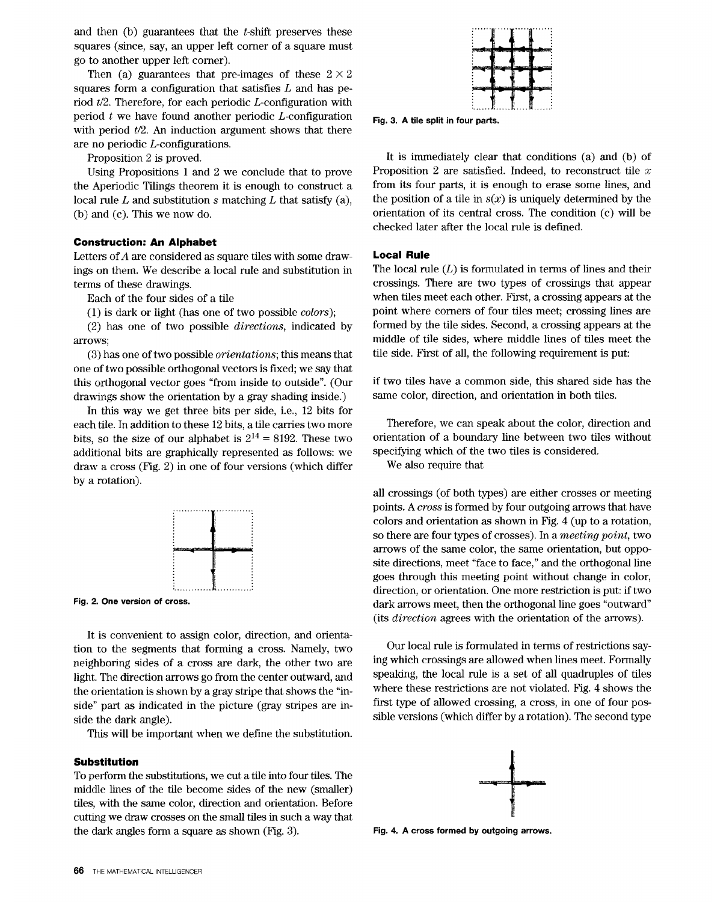and then  $(b)$  guarantees that the t-shift preserves these squares (since, say, an upper left corner of a square must go to another upper left corner).

Then (a) guarantees that pre-images of these  $2 \times 2$ squares form a configuration that satisfies  $L$  and has period *t/2.* Therefore, for each periodic L-configuration with period  $t$  we have found another periodic  $L$ -configuration with period  $t/2$ . An induction argument shows that there are no periodic L-configurations.

Proposition 2 is proved.

Using Propositions 1 and 2 we conclude that to prove the Aperiodic Tilings theorem it is enough to construct a local rule  $L$  and substitution  $s$  matching  $L$  that satisfy (a),  $(b)$  and  $(c)$ . This we now do.

#### **Construction: An Alphabet**

Letters of A are considered as square tiles with some drawings on them. We describe a local rule and substitution in terms of these drawings.

Each of the four sides of a tile

(1) is dark or light (has one of two possible *colors);* 

(2) has one of two possible *directions,* indicated by arrows;

(3) has one of two possible *orientations;* this means that one of two possible orthogonal vectors is fixed; we say that this orthogonal vector goes "from inside to outside". (Our drawings show the orientation by a gray shading inside.)

In this way we get three bits per side, i.e., 12 bits for each tile. In addition to these 12 bits, a tile carries two more bits, so the size of our alphabet is  $2^{14} = 8192$ . These two additional bits are graphically represented as follows: we draw a cross (Fig. 2) in one of four versions (which differ by a rotation).



**Fig. 2. One version of cross.** 

It is convenient to assign color, direction, and orientation to the segments that forming a cross. Namely, two neighboring sides of a cross are dark, the other two are light. The direction arrows go from the center outward, and the orientation is shown by a gray stripe that shows the "inside" part as indicated in the picture (gray stripes are inside the dark angle).

This will be important when we define the substitution.

#### **Substitution**

To perform the substitutions, we cut a tile into four tiles. The middle lines of the tile become sides of the new (smaller) tiles, with the same color, direction and orientation. Before cutting we draw crosses on the small tiles in such a way that the dark angles form a square as shown (Fig. 3).



**Fig. 3. A tile split in four parts.** 

It is immediately clear that conditions (a) and (b) of Proposition 2 are satisfied. Indeed, to reconstruct tile  $x$ from its four parts, it is enough to erase some lines, and the position of a tile in  $s(x)$  is uniquely determined by the orientation of its central cross. The condition (c) will be checked later after the local rule is defined.

#### **Local Rule**

The local rule  $(L)$  is formulated in terms of lines and their crossings. There are two types of crossings that appear when tiles meet each other. First, a crossing appears at the point where corners of four tiles meet; crossing lines are formed by the tile sides. Second, a crossing appears at the middle of tile sides, where middle lines of tiles meet the tile side. First of all, the following requirement is put:

if two tiles have a common side, this shared side has the same color, direction, and orientation in both tiles.

Therefore, we can speak about the color, direction and orientation of a boundary line between two tiles without specifying which of the two tiles is considered.

We also require that

all crossings (of both types) are either crosses or meeting points. A *cross* is formed by four outgoing arrows that have colors and orientation as shown in Fig. 4 (up to a rotation, so there are four types of crosses). In a *meeting point,* two arrows of the same color, the same orientation, but opposite directions, meet "face to face," and the orthogonal line goes through this meeting point without change in color, direction, or orientation. One more restriction is put: if two dark arrows meet, then the orthogonal line goes "outward" (its *direction* agrees with the orientation of the arrows).

Our local rule is formulated in terms of restrictions saying which crossings are allowed when lines meet. Formally speaking, the local rule is a set of all quadruples of tiles where these restrictions are not violated. Fig. 4 shows the first type of allowed crossing, a cross, in one of four possible versions (which differ by a rotation). The second type



**Fig. 4. A cross formed by outgoing arrows.**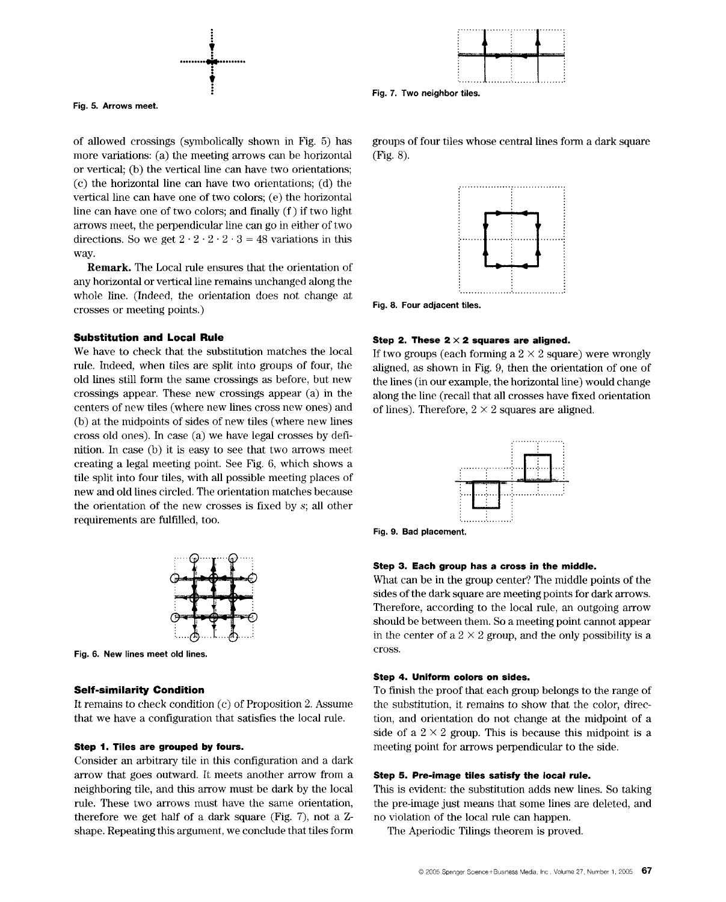





of allowed crossings (symbolically shown in Fig. 5) has more variations: (a) the meeting arrows can be horizontal or vertical; (b) the vertical line can have two orientations; (c) the horizontal line can have two orientations; (d) the vertical line can have one of two colors; (e) the horizontal line can have one of two colors; and finally (f) if two light arrows meet, the perpendicular line can go in either of two directions. So we get  $2 \cdot 2 \cdot 2 \cdot 2 \cdot 3 = 48$  variations in this way.

Remark. The Local rule ensures that the orientation of any horizontal or vertical line remains unchanged along the whole line. (Indeed, the orientation does not change at crosses or meeting points.)

#### **Substitution and Local Rule**

**Fig. 5. Arrows meet.** 

We have to check that the substitution matches the local rule. Indeed, when tiles are split into groups of four, the old lines still form the same crossings as before, but new crossings appear. These new crossings appear (a) in the centers of new tiles (where new lines cross new ones) and (b) at the midpoints of sides of new tiles (where new lines cross old ones). In case (a) we have legal crosses by definition. In case (b) it is easy to see that two arrows meet creating a legal meeting point. See Fig. 6, which shows a tile split into four tiles, with all possible meeting places of new and old lines circled. The orientation matches because the orientation of the new crosses is fixed by s; all other requirements are fulfilled, too.



**Fig. 6. New lines meet old lines.** 

## **Self-similarity Condition**

It remains to check condition (c) of Proposition 2. Assume that we have a configuration that satisfies the local rule.

#### **Step 1. Tiles are grouped by fours.**

Consider an arbitrary tile in this configuration and a dark arrow that goes outward. It meets another arrow from a neighboring tile, and this arrow must be dark by the local rule. These two arrows must have the same orientation, therefore we get half of a dark square (Fig. 7), not a Zshape. Repeating this argument, we conclude that tiles form groups of four tiles whose central lines form a dark square (Fig. 8).



**Fig. 8. Four adjacent tiles.** 

#### **Step 2. These 2 X 2 squares are aligned.**

If two groups (each forming a  $2 \times 2$  square) were wrongly aligned, as shown in Fig. 9, then the orientation of one of the lines (in our example, the horizontal line) would change along the line (recall that all crosses have fixed orientation of lines). Therefore,  $2 \times 2$  squares are aligned.



**Fig. 9. Bad placement.** 

#### **Step 3. Each group has a cross in the middle.**

What can be in the group center? The middle points of the sides of the dark square are meeting points for dark arrows. Therefore, according to the local rule, an outgoing arrow should be between them. So a meeting point cannot appear in the center of a  $2 \times 2$  group, and the only possibility is a cross.

#### **Step 4. Uniform colors on sides.**

To finish the proof that each group belongs to the range of the substitution, it remains to show that the color, direction, and orientation do not change at the midpoint of a side of a  $2 \times 2$  group. This is because this midpoint is a meeting point for arrows perpendicular to the side.

#### **Step 5. Pre-image tiles satisfy the local rule.**

This is evident: the substitution adds new lines. So taking the pre-image just means that some lines are deleted, and no violation of the local rule can happen.

The Aperiodic Tilings theorem is proved.